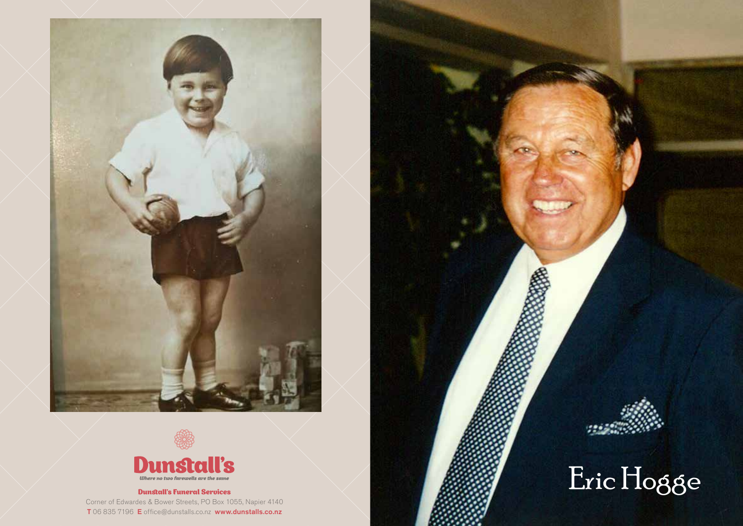



#### Dunstall's Funeral Services

Corner of Edwardes & Bower Streets, PO Box 1055, Napier 4140 T 06 835 7196 E office@dunstalls.co.nz www.dunstalls.co.nz



# Eric Hogge